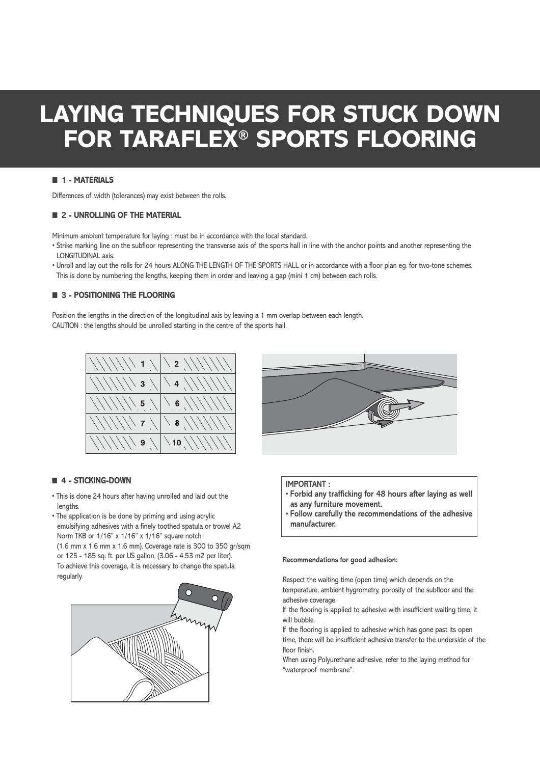# **LAYING TECHNIQUES FOR STUCK DOWN FOR TARAFLEX® SPORTS FLOORING**

### ■ **1 - MATERIALS**

Differences of width (tolerances) may exist between the rolls.

# ■ **2 - UNROLLING OF THE MATERIAL**

Minimum ambient temperature for laying : must be in accordance with the local standard.

- Strike marking line on the subfloor representing the transverse axis of the sports hall in line with the anchor points and another representing the LONGITUDINAL axis.
- Unroll and lay out the rolls for 24 hours ALONG THE LENGTH OF THE SPORTS HALL or in accordance with a floor plan eg. for two-tone schemes. This is done by numbering the lengths, keeping them in order and leaving a gap (mini 1 cm) between each rolls.

# ■ **3 - POSITIONING THE FLOORING**

Position the lengths in the direction of the longitudinal axis by leaving a 1 mm overlap between each length. CAUTION : the lengths should be unrolled starting in the centre of the sports hall.



#### ■ **4 - STICKING-DOWN**

- This is done 24 hours after having unrolled and laid out the lengths.
- The application is be done by priming and using acrylic emulsifying adhesives with a finely toothed spatula or trowel A2 Norm TKB or 1/16" x 1/16" x 1/16" square notch (1.6 mm x 1.6 mm x 1.6 mm). Coverage rate is 300 to 350 gr/sqm or 125 - 185 sq. ft. per US gallon, (3.06 - 4.53 m2 per liter). To achieve this coverage, it is necessary to change the spatula regularly.





### **IMPORTANT :**

- **Forbid any trafficking for 48 hours after laying as well as any furniture movement.**
- **Follow carefully the recommendations of the adhesive manufacturer.**

#### **Recommendations for good adhesion:**

Respect the waiting time (open time) which depends on the temperature, ambient hygrometry, porosity of the subfloor and the adhesive coverage.

If the flooring is applied to adhesive with insufficient waiting time, it will bubble.

If the flooring is applied to adhesive which has gone past its open time, there will be insufficient adhesive transfer to the underside of the floor finish.

When using Polyurethane adhesive, refer to the laying method for "waterproof membrane".